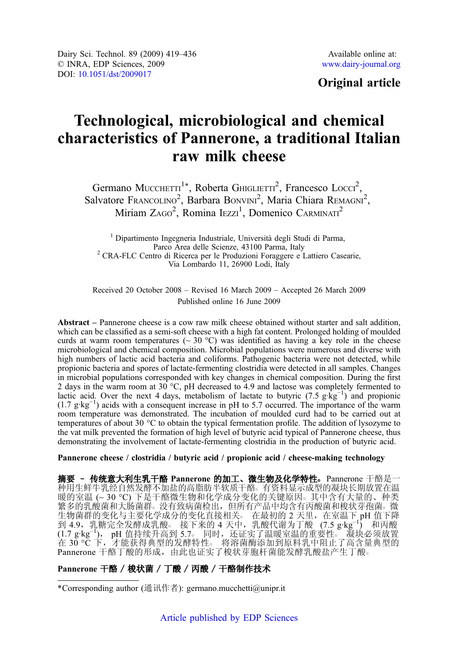# Original article

# Technological, microbiological and chemical characteristics of Pannerone, a traditional Italian raw milk cheese

Germano MUCCHETTI<sup>1</sup>\*, Roberta GHIGLIETTI<sup>2</sup>, Francesco Locci<sup>2</sup>, Salvatore Francolino<sup>2</sup>, Barbara Bonvini<sup>2</sup>, Maria Chiara REMAGNI<sup>2</sup>, Miriam ZAGO<sup>2</sup>, Romina IEzzi<sup>1</sup>, Domenico CARMINATI<sup>2</sup>

<sup>1</sup> Dipartimento Ingegneria Industriale, Università degli Studi di Parma, Parco Area delle Scienze, 43100 Parma, Italy  $P^2$ CRA-FLC Centro di Ricerca per le Produzioni Foraggere e Lattiero Casearie, Via Lombardo 11, 26900 Lodi, Italy

Received 20 October 2008 – Revised 16 March 2009 – Accepted 26 March 2009 Published online 16 June 2009

Abstract – Pannerone cheese is a cow raw milk cheese obtained without starter and salt addition, which can be classified as a semi-soft cheese with a high fat content. Prolonged holding of moulded curds at warm room temperatures ( $\sim 30$  °C) was identified as having a key role in the cheese microbiological and chemical composition. Microbial populations were numerous and diverse with high numbers of lactic acid bacteria and coliforms. Pathogenic bacteria were not detected, while propionic bacteria and spores of lactate-fermenting clostridia were detected in all samples. Changes in microbial populations corresponded with key changes in chemical composition. During the first 2 days in the warm room at 30 °C, pH decreased to 4.9 and lactose was completely fermented to lactic acid. Over the next 4 days, metabolism of lactate to butyric (7.5  $g \text{ kg}^{-1}$ ) and propionic (1.7 g·kg<sup>-1</sup>) acids with a consequent increase in pH to 5.7 occurred. The importance of the warm room temperature was demonstrated. The incubation of moulded curd had to be carried out at temperatures of about 30 °C to obtain the typical fermentation profile. The addition of lysozyme to the vat milk prevented the formation of high level of butyric acid typical of Pannerone cheese, thus demonstrating the involvement of lactate-fermenting clostridia in the production of butyric acid.

#### Pannerone cheese / clostridia / butyric acid / propionic acid / cheese-making technology

摘要 - 传统意大利生乳干酪 Pannerone 的加工、微生物及化学特性。Pannerone 干酪是一 种用生鲜牛乳经自然发酵不加盐的高脂肪半软质干酪○ 有资料显示成型的凝块长期放置在温 暖的室温 (~30 ℃) 下是干酪微生物和化学成分变化的关键原因。其中含有大量的、种类 繁多的乳酸菌和大肠菌群。没有致病菌检出,但所有产品中均含有丙酸菌和梭状芽孢菌。 微 生物菌群的变化与主要化学成分的变化直接相关。 在最初的 2 天里,在室温下 pH 值下降 到 4.9, 乳糖完全发酵成乳酸。接下来的 4 天中, 乳酸代谢为丁酸 (7.5 g·kg<sup>-1</sup>) 和丙酸 (1.7 g·kg-<sup>1</sup>), pH 值持续升高到 5.7。 同时, 还证实了温暖室温的重要性。 凝块必须放置 在 30 °C 下,才能获得典型的发酵特性。 将溶菌酶添加到原料乳中阻止了高含量典型的 Pannerone 干酪丁酸的形成, 由此也证实了梭状芽胞杆菌能发酵乳酸盐产生丁酸。

# Pannerone 干酪 / 梭状菌 / 丁酸 / 丙酸 / 干酪制作技术

<sup>\*</sup>Corresponding author (通讯作者): germano.mucchetti@unipr.it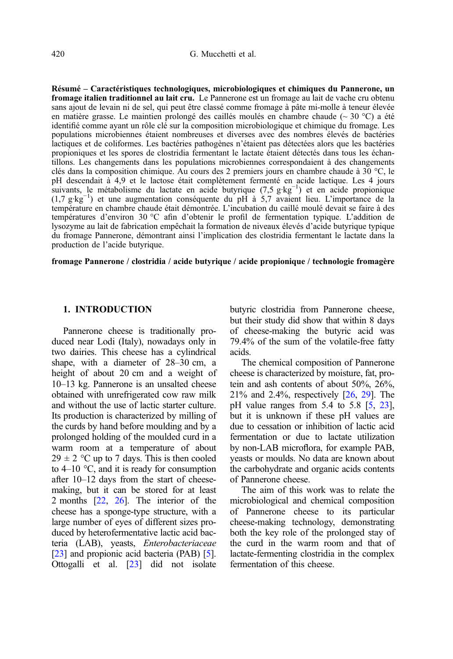Résumé – Caractéristiques technologiques, microbiologiques et chimiques du Pannerone, un fromage italien traditionnel au lait cru. Le Pannerone est un fromage au lait de vache cru obtenu sans ajout de levain ni de sel, qui peut être classé comme fromage à pâte mi-molle à teneur élevée en matière grasse. Le maintien prolongé des caillés moulés en chambre chaude ( $\sim$  30 °C) a été identifié comme ayant un rôle clé sur la composition microbiologique et chimique du fromage. Les populations microbiennes étaient nombreuses et diverses avec des nombres élevés de bactéries lactiques et de coliformes. Les bactéries pathogènes n'étaient pas détectées alors que les bactéries propioniques et les spores de clostridia fermentant le lactate étaient détectés dans tous les échantillons. Les changements dans les populations microbiennes correspondaient à des changements clés dans la composition chimique. Au cours des 2 premiers jours en chambre chaude à 30 °C, le pH descendait à 4,9 et le lactose était complètement fermenté en acide lactique. Les 4 jours suivants, le métabolisme du lactate en acide butyrique (7,5 g·kg<sup>-1</sup>) et en acide propionique (1,7 g·kg−<sup>1</sup> ) et une augmentation conséquente du pH à 5,7 avaient lieu. L'importance de la température en chambre chaude était démontrée. L'incubation du caillé moulé devait se faire à des températures d'environ 30 °C afin d'obtenir le profil de fermentation typique. L'addition de lysozyme au lait de fabrication empêchait la formation de niveaux élevés d'acide butyrique typique du fromage Pannerone, démontrant ainsi l'implication des clostridia fermentant le lactate dans la production de l'acide butyrique.

fromage Pannerone / clostridia / acide butyrique / acide propionique / technologie fromagère

#### 1. INTRODUCTION

Pannerone cheese is traditionally produced near Lodi (Italy), nowadays only in two dairies. This cheese has a cylindrical shape, with a diameter of 28–30 cm, a height of about 20 cm and a weight of 10–13 kg. Pannerone is an unsalted cheese obtained with unrefrigerated cow raw milk and without the use of lactic starter culture. Its production is characterized by milling of the curds by hand before moulding and by a prolonged holding of the moulded curd in a warm room at a temperature of about  $29 \pm 2$  °C up to 7 days. This is then cooled to  $4-10$  °C, and it is ready for consumption after 10–12 days from the start of cheesemaking, but it can be stored for at least 2 months [[22](#page-17-0), [26](#page-17-0)]. The interior of the cheese has a sponge-type structure, with a large number of eyes of different sizes produced by heterofermentative lactic acid bacteria (LAB), yeasts, Enterobacteriaceae [\[23](#page-17-0)] and propionic acid bacteria (PAB) [\[5\]](#page-16-0). Ottogalli et al. [[23](#page-17-0)] did not isolate butyric clostridia from Pannerone cheese, but their study did show that within 8 days of cheese-making the butyric acid was 79.4% of the sum of the volatile-free fatty acids.

The chemical composition of Pannerone cheese is characterized by moisture, fat, protein and ash contents of about 50%, 26%, 21% and 2.4%, respectively [\[26,](#page-17-0) [29\]](#page-17-0). The pH value ranges from 5.4 to 5.8 [[5](#page-16-0), [23](#page-17-0)], but it is unknown if these pH values are due to cessation or inhibition of lactic acid fermentation or due to lactate utilization by non-LAB microflora, for example PAB, yeasts or moulds. No data are known about the carbohydrate and organic acids contents of Pannerone cheese.

The aim of this work was to relate the microbiological and chemical composition of Pannerone cheese to its particular cheese-making technology, demonstrating both the key role of the prolonged stay of the curd in the warm room and that of lactate-fermenting clostridia in the complex fermentation of this cheese.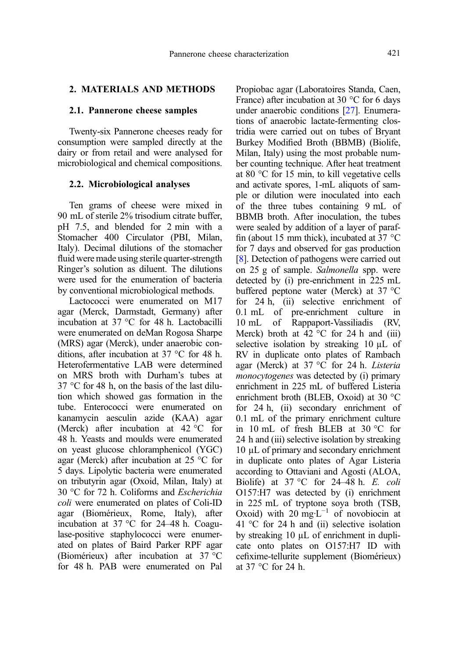# 2. MATERIALS AND METHODS

#### 2.1. Pannerone cheese samples

Twenty-six Pannerone cheeses ready for consumption were sampled directly at the dairy or from retail and were analysed for microbiological and chemical compositions.

#### 2.2. Microbiological analyses

Ten grams of cheese were mixed in 90 mL of sterile 2% trisodium citrate buffer, pH 7.5, and blended for 2 min with a Stomacher 400 Circulator (PBI, Milan, Italy). Decimal dilutions of the stomacher fluid were made using sterile quarter-strength Ringer's solution as diluent. The dilutions were used for the enumeration of bacteria by conventional microbiological methods.

Lactococci were enumerated on M17 agar (Merck, Darmstadt, Germany) after incubation at 37 °C for 48 h. Lactobacilli were enumerated on deMan Rogosa Sharpe (MRS) agar (Merck), under anaerobic conditions, after incubation at 37 °C for 48 h. Heterofermentative LAB were determined on MRS broth with Durham's tubes at 37 °C for 48 h, on the basis of the last dilution which showed gas formation in the tube. Enterococci were enumerated on kanamycin aesculin azide (KAA) agar (Merck) after incubation at 42 °C for 48 h. Yeasts and moulds were enumerated on yeast glucose chloramphenicol (YGC) agar (Merck) after incubation at 25 °C for 5 days. Lipolytic bacteria were enumerated on tributyrin agar (Oxoid, Milan, Italy) at 30 °C for 72 h. Coliforms and Escherichia coli were enumerated on plates of Coli-ID agar (Biomérieux, Rome, Italy), after incubation at 37 °C for 24–48 h. Coagulase-positive staphylococci were enumerated on plates of Baird Parker RPF agar (Biomérieux) after incubation at 37 °C for 48 h. PAB were enumerated on Pal

Propiobac agar (Laboratoires Standa, Caen, France) after incubation at 30 °C for 6 days under anaerobic conditions [\[27\]](#page-17-0). Enumerations of anaerobic lactate-fermenting clostridia were carried out on tubes of Bryant Burkey Modified Broth (BBMB) (Biolife, Milan, Italy) using the most probable number counting technique. After heat treatment at 80 °C for 15 min, to kill vegetative cells and activate spores, 1-mL aliquots of sample or dilution were inoculated into each of the three tubes containing 9 mL of BBMB broth. After inoculation, the tubes were sealed by addition of a layer of paraffin (about 15 mm thick), incubated at 37  $^{\circ}$ C for 7 days and observed for gas production [[8\]](#page-16-0). Detection of pathogens were carried out on 25 g of sample. Salmonella spp. were detected by (i) pre-enrichment in 225 mL buffered peptone water (Merck) at 37 °C for 24 h, (ii) selective enrichment of 0.1 mL of pre-enrichment culture in 10 mL of Rappaport-Vassiliadis (RV, Merck) broth at  $42^{\circ}$ C for 24 h and (iii) selective isolation by streaking 10  $\mu$ L of RV in duplicate onto plates of Rambach agar (Merck) at 37 °C for 24 h. Listeria monocytogenes was detected by (i) primary enrichment in 225 mL of buffered Listeria enrichment broth (BLEB, Oxoid) at 30 °C for 24 h, (ii) secondary enrichment of 0.1 mL of the primary enrichment culture in 10 mL of fresh BLEB at 30 °C for 24 h and (iii) selective isolation by streaking 10 µL of primary and secondary enrichment in duplicate onto plates of Agar Listeria according to Ottaviani and Agosti (ALOA, Biolife) at  $37^{\circ}$ C for  $24-48$  h. E. coli O157:H7 was detected by (i) enrichment in 225 mL of tryptone soya broth (TSB, Oxoid) with 20 mg $L^{-1}$  of novobiocin at 41 °C for 24 h and (ii) selective isolation by streaking 10 µL of enrichment in duplicate onto plates on O157:H7 ID with cefixime-tellurite supplement (Biomérieux) at 37 °C for 24 h.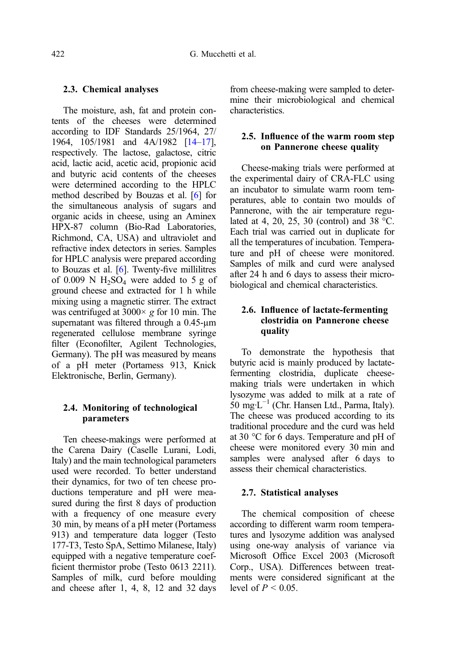#### 2.3. Chemical analyses

The moisture, ash, fat and protein contents of the cheeses were determined according to IDF Standards 25/1964, 27/ 1964, 105/1981 and 4A/1982 [[14](#page-16-0)–[17\]](#page-17-0), respectively. The lactose, galactose, citric acid, lactic acid, acetic acid, propionic acid and butyric acid contents of the cheeses were determined according to the HPLC method described by Bouzas et al. [\[6](#page-16-0)] for the simultaneous analysis of sugars and organic acids in cheese, using an Aminex HPX-87 column (Bio-Rad Laboratories, Richmond, CA, USA) and ultraviolet and refractive index detectors in series. Samples for HPLC analysis were prepared according to Bouzas et al. [[6\]](#page-16-0). Twenty-five millilitres of 0.009 N  $H_2SO_4$  were added to 5 g of ground cheese and extracted for 1 h while mixing using a magnetic stirrer. The extract was centrifuged at  $3000 \times g$  for 10 min. The supernatant was filtered through a 0.45-um regenerated cellulose membrane syringe filter (Econofilter, Agilent Technologies, Germany). The pH was measured by means of a pH meter (Portamess 913, Knick Elektronische, Berlin, Germany).

# 2.4. Monitoring of technological parameters

Ten cheese-makings were performed at the Carena Dairy (Caselle Lurani, Lodi, Italy) and the main technological parameters used were recorded. To better understand their dynamics, for two of ten cheese productions temperature and pH were measured during the first 8 days of production with a frequency of one measure every 30 min, by means of a pH meter (Portamess 913) and temperature data logger (Testo 177-T3, Testo SpA, Settimo Milanese, Italy) equipped with a negative temperature coefficient thermistor probe (Testo 0613 2211). Samples of milk, curd before moulding and cheese after 1, 4, 8, 12 and 32 days from cheese-making were sampled to determine their microbiological and chemical characteristics.

### 2.5. Influence of the warm room step on Pannerone cheese quality

Cheese-making trials were performed at the experimental dairy of CRA-FLC using an incubator to simulate warm room temperatures, able to contain two moulds of Pannerone, with the air temperature regulated at 4, 20, 25, 30 (control) and 38  $^{\circ}$ C. Each trial was carried out in duplicate for all the temperatures of incubation. Temperature and pH of cheese were monitored. Samples of milk and curd were analysed after 24 h and 6 days to assess their microbiological and chemical characteristics.

# 2.6. Influence of lactate-fermenting clostridia on Pannerone cheese quality

To demonstrate the hypothesis that butyric acid is mainly produced by lactatefermenting clostridia, duplicate cheesemaking trials were undertaken in which lysozyme was added to milk at a rate of 50 mg·L<sup>-1</sup> (Chr. Hansen Ltd., Parma, Italy). The cheese was produced according to its traditional procedure and the curd was held at 30 °C for 6 days. Temperature and pH of cheese were monitored every 30 min and samples were analysed after 6 days to assess their chemical characteristics.

#### 2.7. Statistical analyses

The chemical composition of cheese according to different warm room temperatures and lysozyme addition was analysed using one-way analysis of variance via Microsoft Office Excel 2003 (Microsoft Corp., USA). Differences between treatments were considered significant at the level of  $P < 0.05$ .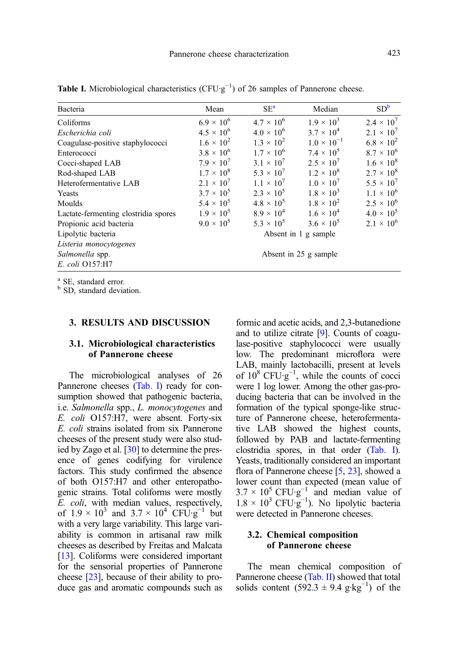| Bacteria                             | Mean                  | $SE^a$              | Median               | SD <sup>b</sup>     |  |  |  |
|--------------------------------------|-----------------------|---------------------|----------------------|---------------------|--|--|--|
| Coliforms                            | $6.9 \times 10^{6}$   | $4.7 \times 10^{6}$ | $1.9 \times 10^{3}$  | $2.4 \times 10^{7}$ |  |  |  |
| Escherichia coli                     | $4.5 \times 10^{6}$   | $4.0 \times 10^{6}$ | $3.7 \times 10^{4}$  | $2.1 \times 10^{7}$ |  |  |  |
| Coagulase-positive staphylococci     | $1.6 \times 10^{2}$   | $1.3 \times 10^{2}$ | $1.0 \times 10^{-1}$ | $6.8 \times 10^{2}$ |  |  |  |
| Enterococci                          | $3.8 \times 10^{6}$   | $1.7 \times 10^6$   | $7.4 \times 10^5$    | $8.7 \times 10^6$   |  |  |  |
| Cocci-shaped LAB                     | $7.9 \times 10^{7}$   | $3.1 \times 10^{7}$ | $2.5 \times 10^{7}$  | $1.6 \times 10^8$   |  |  |  |
| Rod-shaped LAB                       | $1.7 \times 10^8$     | $5.3 \times 10^{7}$ | $1.2 \times 10^8$    | $2.7 \times 10^8$   |  |  |  |
| Heterofermentative LAB               | $2.1 \times 10^{7}$   | $1.1 \times 10^{7}$ | $1.0 \times 10^{7}$  | $5.5 \times 10^{7}$ |  |  |  |
| Yeasts                               | $3.7 \times 10^5$     | $2.3 \times 10^5$   | $1.8 \times 10^{3}$  | $1.1 \times 10^6$   |  |  |  |
| Moulds                               | $5.4 \times 10^{5}$   | $4.8 \times 10^{5}$ | $1.8 \times 10^{2}$  | $2.5 \times 10^6$   |  |  |  |
| Lactate-fermenting clostridia spores | $1.9 \times 10^{5}$   | $8.9 \times 10^{4}$ | $1.6 \times 10^{4}$  | $4.0 \times 10^5$   |  |  |  |
| Propionic acid bacteria              | $9.0 \times 10^5$     | $5.3 \times 10^5$   | $3.6 \times 10^5$    | $2.1 \times 10^6$   |  |  |  |
| Lipolytic bacteria                   |                       |                     | Absent in 1 g sample |                     |  |  |  |
| Listeria monocytogenes               |                       |                     |                      |                     |  |  |  |
| Salmonella spp.                      | Absent in 25 g sample |                     |                      |                     |  |  |  |
| E. coli O157:H7                      |                       |                     |                      |                     |  |  |  |

<span id="page-4-0"></span>**Table I.** Microbiological characteristics ( $CFU·g^{-1}$ ) of 26 samples of Pannerone cheese.

 $\frac{a}{b}$  SE, standard error.<br> $\frac{b}{b}$  SD, standard deviation.

#### 3. RESULTS AND DISCUSSION

# 3.1. Microbiological characteristics of Pannerone cheese

The microbiological analyses of 26 Pannerone cheeses (Tab. I) ready for consumption showed that pathogenic bacteria, i.e. Salmonella spp., L. monocytogenes and E. coli O157:H7, were absent. Forty-six E. coli strains isolated from six Pannerone cheeses of the present study were also studied by Zago et al. [\[30\]](#page-17-0) to determine the presence of genes codifying for virulence factors. This study confirmed the absence of both O157:H7 and other enteropathogenic strains. Total coliforms were mostly E. coli, with median values, respectively, of  $1.9 \times 10^3$  and  $3.7 \times 10^4$  CFU·g<sup>-1</sup> but with a very large variability. This large variability is common in artisanal raw milk cheeses as described by Freitas and Malcata [[13](#page-16-0)]. Coliforms were considered important for the sensorial properties of Pannerone cheese [\[23](#page-17-0)], because of their ability to produce gas and aromatic compounds such as formic and acetic acids, and 2,3-butanedione and to utilize citrate [[9](#page-16-0)]. Counts of coagulase-positive staphylococci were usually low. The predominant microflora were LAB, mainly lactobacilli, present at levels of  $10^8$  CFU·g<sup>-1</sup>, while the counts of cocci were 1 log lower. Among the other gas-producing bacteria that can be involved in the formation of the typical sponge-like structure of Pannerone cheese, heterofermentative LAB showed the highest counts, followed by PAB and lactate-fermenting clostridia spores, in that order (Tab. I). Yeasts, traditionally considered an important flora of Pannerone cheese [\[5](#page-16-0), [23](#page-17-0)], showed a lower count than expected (mean value of  $3.7 \times 10^5$  CFU·g<sup>-1</sup> and median value of  $1.8 \times 10^3$  CFU·g<sup>-1</sup>). No lipolytic bacteria were detected in Pannerone cheeses.

# 3.2. Chemical composition of Pannerone cheese

The mean chemical composition of Pannerone cheese ([Tab. II\)](#page-5-0) showed that total solids content  $(592.3 \pm 9.4 \text{ g} \cdot \text{kg}^{-1})$  of the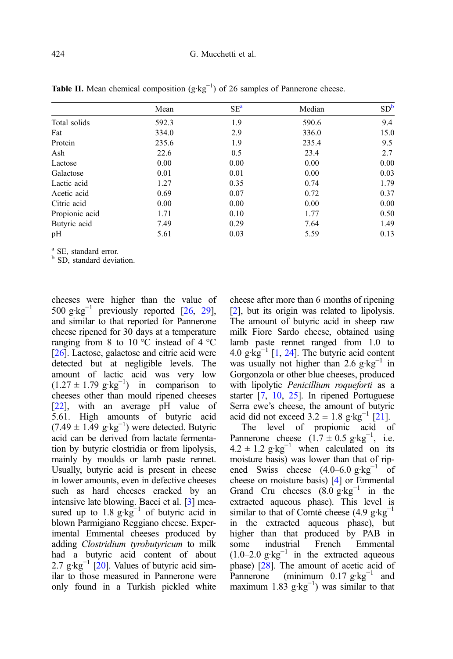|                | Mean  | SE <sup>a</sup> | Median | SD <sup>b</sup> |
|----------------|-------|-----------------|--------|-----------------|
| Total solids   | 592.3 | 1.9             | 590.6  | 9.4             |
| Fat            | 334.0 | 2.9             | 336.0  | 15.0            |
| Protein        | 235.6 | 1.9             | 235.4  | 9.5             |
| Ash            | 22.6  | 0.5             | 23.4   | 2.7             |
| Lactose        | 0.00  | 0.00            | 0.00   | 0.00            |
| Galactose      | 0.01  | 0.01            | 0.00   | 0.03            |
| Lactic acid    | 1.27  | 0.35            | 0.74   | 1.79            |
| Acetic acid    | 0.69  | 0.07            | 0.72   | 0.37            |
| Citric acid    | 0.00  | 0.00            | 0.00   | 0.00            |
| Propionic acid | 1.71  | 0.10            | 1.77   | 0.50            |
| Butyric acid   | 7.49  | 0.29            | 7.64   | 1.49            |
| pH             | 5.61  | 0.03            | 5.59   | 0.13            |

<span id="page-5-0"></span>Table II. Mean chemical composition  $(g \cdot kg^{-1})$  of 26 samples of Pannerone cheese.

 $\frac{a}{b}$  SE, standard error.<br> $\frac{b}{b}$  SD, standard deviation.

cheeses were higher than the value of 500  $g \cdot kg^{-1}$  previously reported [[26](#page-17-0), [29\]](#page-17-0), and similar to that reported for Pannerone cheese ripened for 30 days at a temperature ranging from 8 to 10  $^{\circ}$ C instead of 4  $^{\circ}$ C [\[26](#page-17-0)]. Lactose, galactose and citric acid were detected but at negligible levels. The amount of lactic acid was very low  $(1.27 \pm 1.79 \text{ g} \cdot \text{kg}^{-1})$  in comparison to cheeses other than mould ripened cheeses [\[22](#page-17-0)], with an average pH value of 5.61. High amounts of butyric acid  $(7.49 \pm 1.49 \text{ g} \cdot \text{kg}^{-1})$  were detected. Butyric acid can be derived from lactate fermentation by butyric clostridia or from lipolysis, mainly by moulds or lamb paste rennet. Usually, butyric acid is present in cheese in lower amounts, even in defective cheeses such as hard cheeses cracked by an intensive late blowing. Bacci et al. [\[3](#page-16-0)] measured up to  $1.8 \text{ g·kg}^{-1}$  of butyric acid in blown Parmigiano Reggiano cheese. Experimental Emmental cheeses produced by adding Clostridium tyrobutyricum to milk had a butyric acid content of about 2.7 g·kg<sup>-1</sup> [\[20](#page-17-0)]. Values of butyric acid similar to those measured in Pannerone were only found in a Turkish pickled white cheese after more than 6 months of ripening [[2](#page-16-0)], but its origin was related to lipolysis. The amount of butyric acid in sheep raw milk Fiore Sardo cheese, obtained using lamb paste rennet ranged from 1.0 to 4.0 g· $kg^{-1}$  [[1,](#page-16-0) [24\]](#page-17-0). The butyric acid content was usually not higher than 2.6 g·kg<sup> $-1$ </sup> in Gorgonzola or other blue cheeses, produced with lipolytic Penicillium roqueforti as a starter [\[7,](#page-16-0) [10,](#page-16-0) [25\]](#page-17-0). In ripened Portuguese Serra ewe's cheese, the amount of butyric acid did not exceed  $3.2 \pm 1.8$  g·kg<sup>-1</sup> [\[21\]](#page-17-0).

The level of propionic acid of Pannerone cheese  $(1.7 \pm 0.5 \text{ g} \cdot \text{kg}^{-1})$ , i.e.  $4.2 \pm 1.2$  g·kg<sup>-1</sup> when calculated on its moisture basis) was lower than that of ripened Swiss cheese  $(4.0–6.0 \text{ g} \cdot \text{kg}^{-1})$  of cheese on moisture basis) [\[4](#page-16-0)] or Emmental Grand Cru cheeses  $(8.0 \text{ g} \cdot \text{kg}^{-1})$  in the extracted aqueous phase). This level is similar to that of Comté cheese  $(4.9 \text{ g} \cdot \text{kg}^{-1})$ in the extracted aqueous phase), but higher than that produced by PAB in some industrial French Emmental  $(1.0-2.0 \text{ g} \cdot \text{kg}^{-1})$  in the extracted aqueous phase) [[28](#page-17-0)]. The amount of acetic acid of Pannerone (minimum 0.17 g·kg<sup>-1</sup> and maximum 1.83  $g \cdot kg^{-1}$ ) was similar to that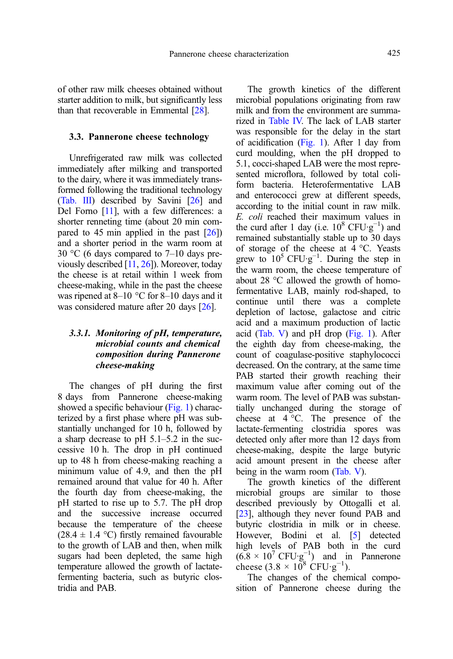of other raw milk cheeses obtained without starter addition to milk, but significantly less than that recoverable in Emmental [\[28\]](#page-17-0).

#### 3.3. Pannerone cheese technology

Unrefrigerated raw milk was collected immediately after milking and transported to the dairy, where it was immediately transformed following the traditional technology ([Tab. III\)](#page-7-0) described by Savini [[26](#page-17-0)] and Del Forno [\[11\]](#page-16-0), with a few differences: a shorter renneting time (about 20 min compared to 45 min applied in the past [[26](#page-17-0)]) and a shorter period in the warm room at 30 °C (6 days compared to 7–10 days previously described [[11](#page-16-0), [26](#page-17-0)]). Moreover, today the cheese is at retail within 1 week from cheese-making, while in the past the cheese was ripened at  $8-10$  °C for  $8-10$  days and it was considered mature after 20 days [\[26\]](#page-17-0).

# 3.3.1. Monitoring of pH, temperature, microbial counts and chemical composition during Pannerone cheese-making

The changes of pH during the first 8 days from Pannerone cheese-making showed a specific behaviour ([Fig. 1](#page-8-0)) characterized by a first phase where pH was substantially unchanged for 10 h, followed by a sharp decrease to pH 5.1–5.2 in the successive 10 h. The drop in pH continued up to 48 h from cheese-making reaching a minimum value of 4.9, and then the pH remained around that value for 40 h. After the fourth day from cheese-making, the pH started to rise up to 5.7. The pH drop and the successive increase occurred because the temperature of the cheese (28.4  $\pm$  1.4 °C) firstly remained favourable to the growth of LAB and then, when milk sugars had been depleted, the same high temperature allowed the growth of lactatefermenting bacteria, such as butyric clostridia and PAB.

The growth kinetics of the different microbial populations originating from raw milk and from the environment are summarized in [Table IV.](#page-9-0) The lack of LAB starter was responsible for the delay in the start of acidification [\(Fig. 1\)](#page-8-0). After 1 day from curd moulding, when the pH dropped to 5.1, cocci-shaped LAB were the most represented microflora, followed by total coliform bacteria. Heterofermentative LAB and enterococci grew at different speeds, according to the initial count in raw milk. E. coli reached their maximum values in the curd after 1 day (i.e.  $10^8$  CFU·g<sup>-1</sup>) and remained substantially stable up to 30 days of storage of the cheese at 4 °C. Yeasts grew to  $10^5$  CFU·g<sup>-1</sup>. During the step in the warm room, the cheese temperature of about 28 °C allowed the growth of homofermentative LAB, mainly rod-shaped, to continue until there was a complete depletion of lactose, galactose and citric acid and a maximum production of lactic acid ([Tab. V\)](#page-10-0) and  $pH$  drop [\(Fig. 1](#page-8-0)). After the eighth day from cheese-making, the count of coagulase-positive staphylococci decreased. On the contrary, at the same time PAB started their growth reaching their maximum value after coming out of the warm room. The level of PAB was substantially unchanged during the storage of cheese at 4 °C. The presence of the lactate-fermenting clostridia spores was detected only after more than 12 days from cheese-making, despite the large butyric acid amount present in the cheese after being in the warm room [\(Tab. V](#page-10-0)).

The growth kinetics of the different microbial groups are similar to those described previously by Ottogalli et al. [[23\]](#page-17-0), although they never found PAB and butyric clostridia in milk or in cheese. However, Bodini et al. [\[5](#page-16-0)] detected high levels of PAB both in the curd  $(6.8 \times 10^7 \text{ CFU} \cdot \text{g}^{-1})$  and in Pannerone cheese  $(3.8 \times 10^8 \text{ CFU} \cdot \text{g}^{-1})$ .

The changes of the chemical composition of Pannerone cheese during the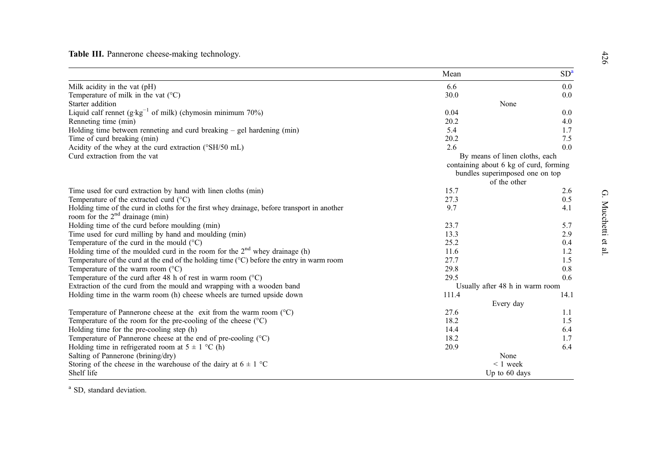<span id="page-7-0"></span>Table III. Pannerone cheese-making technology.

|                                                                                                                                  | Mean                                                                      | SD <sup>a</sup> |  |
|----------------------------------------------------------------------------------------------------------------------------------|---------------------------------------------------------------------------|-----------------|--|
| Milk acidity in the vat (pH)                                                                                                     | 6.6                                                                       | 0.0             |  |
| Temperature of milk in the vat $(^{\circ}C)$                                                                                     | 30.0                                                                      | 0.0             |  |
| Starter addition                                                                                                                 | None                                                                      |                 |  |
| Liquid calf rennet $(g \cdot kg^{-1}$ of milk) (chymosin minimum 70%)                                                            | 0.04                                                                      | 0.0             |  |
| Renneting time (min)                                                                                                             | 20.2                                                                      | 4.0             |  |
| Holding time between renneting and curd breaking $-$ gel hardening (min)                                                         | 5.4                                                                       | 1.7             |  |
| Time of curd breaking (min)                                                                                                      | 20.2                                                                      | 7.5             |  |
| Acidity of the whey at the curd extraction (°SH/50 mL)                                                                           | 2.6                                                                       | 0.0             |  |
| Curd extraction from the vat                                                                                                     | By means of linen cloths, each                                            |                 |  |
|                                                                                                                                  | containing about 6 kg of curd, forming<br>bundles superimposed one on top |                 |  |
|                                                                                                                                  | of the other                                                              |                 |  |
| Time used for curd extraction by hand with linen cloths (min)                                                                    | 15.7                                                                      | 2.6             |  |
| Temperature of the extracted curd $(^{\circ}C)$                                                                                  | 27.3                                                                      | 0.5             |  |
| Holding time of the curd in cloths for the first whey drainage, before transport in another<br>room for the $2nd$ drainage (min) | 9.7                                                                       | 4.1             |  |
| Holding time of the curd before moulding (min)                                                                                   | 23.7                                                                      | 5.7             |  |
| Time used for curd milling by hand and moulding (min)                                                                            | 13.3                                                                      | 2.9             |  |
| Temperature of the curd in the mould $(°C)$                                                                                      | 25.2                                                                      | 0.4             |  |
| Holding time of the moulded curd in the room for the 2 <sup>nd</sup> whey drainage (h)                                           | 11.6                                                                      | 1.2             |  |
| Temperature of the curd at the end of the holding time $(^{\circ}C)$ before the entry in warm room                               | 27.7                                                                      | 1.5             |  |
| Temperature of the warm room $(^{\circ}C)$                                                                                       | 29.8                                                                      | 0.8             |  |
| Temperature of the curd after 48 h of rest in warm room $(^{\circ}C)$                                                            | 29.5                                                                      | 0.6             |  |
| Extraction of the curd from the mould and wrapping with a wooden band                                                            | Usually after 48 h in warm room                                           |                 |  |
| Holding time in the warm room (h) cheese wheels are turned upside down                                                           | 111.4                                                                     | 14.1            |  |
|                                                                                                                                  | Every day                                                                 |                 |  |
| Temperature of Pannerone cheese at the exit from the warm room $(^{\circ}C)$                                                     | 27.6                                                                      | 1.1             |  |
| Temperature of the room for the pre-cooling of the cheese $(°C)$                                                                 | 18.2                                                                      | 1.5             |  |
| Holding time for the pre-cooling step (h)                                                                                        | 14.4                                                                      | 6.4             |  |
| Temperature of Pannerone cheese at the end of pre-cooling $(°C)$                                                                 | 18.2                                                                      | 1.7             |  |
| Holding time in refrigerated room at $5 \pm 1$ °C (h)                                                                            | 20.9                                                                      | 6.4             |  |
| Salting of Pannerone (brining/dry)                                                                                               | None                                                                      |                 |  |
| Storing of the cheese in the warehouse of the dairy at $6 \pm 1$ °C                                                              | $< 1$ week                                                                |                 |  |
| Shelf life                                                                                                                       | Up to 60 days                                                             |                 |  |

<sup>a</sup> SD, standard deviation.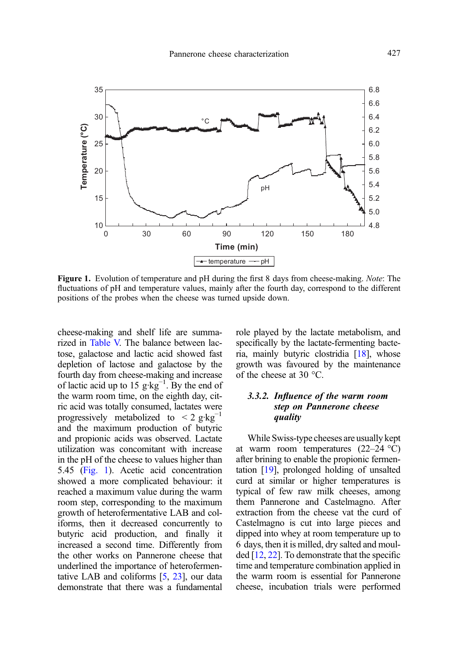<span id="page-8-0"></span>

Figure 1. Evolution of temperature and pH during the first 8 days from cheese-making. Note: The fluctuations of pH and temperature values, mainly after the fourth day, correspond to the different positions of the probes when the cheese was turned upside down.

cheese-making and shelf life are summarized in [Table V.](#page-10-0) The balance between lactose, galactose and lactic acid showed fast depletion of lactose and galactose by the fourth day from cheese-making and increase of lactic acid up to 15  $g \text{·kg}^{-1}$ . By the end of the warm room time, on the eighth day, citric acid was totally consumed, lactates were progressively metabolized to  $\lt 2$  g·kg<sup>-1</sup> and the maximum production of butyric and propionic acids was observed. Lactate utilization was concomitant with increase in the pH of the cheese to values higher than 5.45 (Fig. 1). Acetic acid concentration showed a more complicated behaviour: it reached a maximum value during the warm room step, corresponding to the maximum growth of heterofermentative LAB and coliforms, then it decreased concurrently to butyric acid production, and finally it increased a second time. Differently from the other works on Pannerone cheese that underlined the importance of heterofermentative LAB and coliforms [[5,](#page-16-0) [23](#page-17-0)], our data demonstrate that there was a fundamental role played by the lactate metabolism, and specifically by the lactate-fermenting bacteria, mainly butyric clostridia [[18](#page-17-0)], whose growth was favoured by the maintenance of the cheese at 30 °C.

#### 3.3.2. Influence of the warm room step on Pannerone cheese quality

While Swiss-type cheeses are usually kept at warm room temperatures  $(22-24 \degree C)$ after brining to enable the propionic fermentation [\[19\]](#page-17-0), prolonged holding of unsalted curd at similar or higher temperatures is typical of few raw milk cheeses, among them Pannerone and Castelmagno. After extraction from the cheese vat the curd of Castelmagno is cut into large pieces and dipped into whey at room temperature up to 6 days, then it is milled, dry salted and moulded [[12](#page-16-0), [22\]](#page-17-0). To demonstrate that the specific time and temperature combination applied in the warm room is essential for Pannerone cheese, incubation trials were performed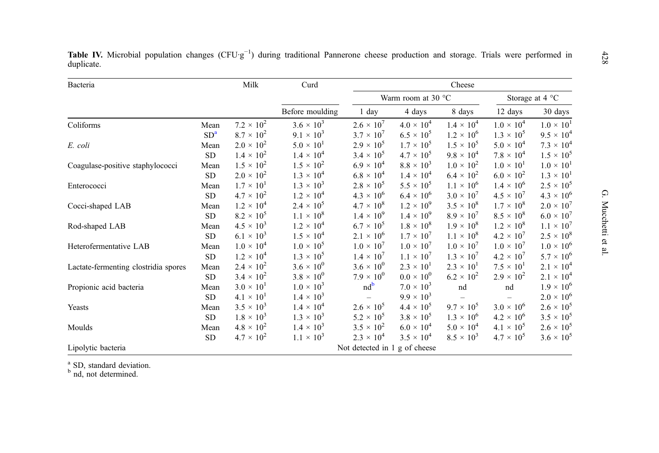| Bacteria                             |                 | Milk                | Curd                |                               | Cheese              |                     |                     |                     |
|--------------------------------------|-----------------|---------------------|---------------------|-------------------------------|---------------------|---------------------|---------------------|---------------------|
|                                      |                 |                     |                     | Warm room at 30 $\degree$ C   |                     |                     |                     | Storage at 4 °C     |
|                                      |                 |                     | Before moulding     | 1 day                         | 4 days              | 8 days              | 12 days             | 30 days             |
| Coliforms                            | Mean            | $7.2 \times 10^{2}$ | $3.6 \times 10^{3}$ | $2.6 \times 10^{7}$           | $4.0 \times 10^{4}$ | $1.4 \times 10^{4}$ | $1.0 \times 10^{4}$ | $1.0 \times 10^{1}$ |
|                                      | SD <sup>a</sup> | $8.7 \times 10^{2}$ | $9.1 \times 10^{3}$ | $3.7 \times 10^{7}$           | $6.5 \times 10^{5}$ | $1.2 \times 10^{6}$ | $1.3 \times 10^{5}$ | $9.5 \times 10^{4}$ |
| E. coli                              | Mean            | $2.0 \times 10^{2}$ | $5.0 \times 10^{1}$ | $2.9 \times 10^{5}$           | $1.7 \times 10^{5}$ | $1.5 \times 10^{5}$ | $5.0 \times 10^{4}$ | $7.3 \times 10^{4}$ |
|                                      | SD              | $1.4 \times 10^{2}$ | $1.4 \times 10^{4}$ | $3.4 \times 10^{5}$           | $4.7 \times 10^{5}$ | $9.8 \times 10^{4}$ | $7.8 \times 10^4$   | $1.5 \times 10^{5}$ |
| Coagulase-positive staphylococci     | Mean            | $1.5 \times 10^{2}$ | $1.5 \times 10^{2}$ | $6.9 \times 10^{4}$           | $8.8 \times 10^{3}$ | $1.0 \times 10^{2}$ | $1.0 \times 10^{1}$ | $1.0 \times 10^{1}$ |
|                                      | SD.             | $2.0 \times 10^{2}$ | $1.3 \times 10^{4}$ | $6.8 \times 10^{4}$           | $1.4 \times 10^{4}$ | $6.4 \times 10^{2}$ | $6.0 \times 10^{2}$ | $1.3 \times 10^{1}$ |
| Enterococci                          | Mean            | $1.7 \times 10^{1}$ | $1.3 \times 10^{3}$ | $2.8 \times 10^{5}$           | $5.5 \times 10^{5}$ | $1.1 \times 10^{6}$ | $1.4 \times 10^{6}$ | $2.5 \times 10^{5}$ |
|                                      | <b>SD</b>       | $4.7 \times 10^{2}$ | $1.2 \times 10^{4}$ | $4.3 \times 10^{6}$           | $6.4 \times 10^{6}$ | $3.0 \times 10^{7}$ | $4.5 \times 10^{7}$ | $4.3 \times 10^{6}$ |
| Cocci-shaped LAB                     | Mean            | $1.2 \times 10^{4}$ | $2.4 \times 10^{5}$ | $4.7 \times 10^8$             | $1.2 \times 10^{9}$ | $3.5 \times 10^8$   | $1.7 \times 10^8$   | $2.0 \times 10^{7}$ |
|                                      | SD.             | $8.2 \times 10^{5}$ | $1.1 \times 10^8$   | $1.4 \times 10^{9}$           | $1.4 \times 10^{9}$ | $8.9 \times 10^{7}$ | $8.5 \times 10^{8}$ | $6.0 \times 10^{7}$ |
| Rod-shaped LAB                       | Mean            | $4.5 \times 10^{3}$ | $1.2 \times 10^{4}$ | $6.7 \times 10^{5}$           | $1.8 \times 10^{8}$ | $1.9 \times 10^{8}$ | $1.2 \times 10^8$   | $1.1 \times 10^{7}$ |
|                                      | SD              | $6.1 \times 10^{3}$ | $1.5 \times 10^{4}$ | $2.1 \times 10^{6}$           | $1.7 \times 10^{7}$ | $1.1 \times 10^8$   | $4.2 \times 10^{7}$ | $2.5\times10^8$     |
| Heterofermentative LAB               | Mean            | $1.0 \times 10^{4}$ | $1.0 \times 10^5$   | $1.0 \times 10^{7}$           | $1.0 \times 10^{7}$ | $1.0 \times 10^{7}$ | $1.0 \times 10^{7}$ | $1.0 \times 10^{6}$ |
|                                      | SD              | $1.2 \times 10^{4}$ | $1.3 \times 10^{5}$ | $1.4 \times 10^{7}$           | $1.1 \times 10^{7}$ | $1.3 \times 10^{7}$ | $4.2 \times 10^{7}$ | $5.7 \times 10^{6}$ |
| Lactate-fermenting clostridia spores | Mean            | $2.4 \times 10^{2}$ | $3.6 \times 10^{0}$ | $3.6 \times 10^{0}$           | $2.3 \times 10^{1}$ | $2.3 \times 10^{1}$ | $7.5 \times 10^{1}$ | $2.1 \times 10^{4}$ |
|                                      | SD.             | $3.4 \times 10^{2}$ | $3.8 \times 10^{0}$ | $7.9 \times 10^{0}$           | $0.0 \times 10^{0}$ | $6.2 \times 10^{2}$ | $2.9 \times 10^{2}$ | $2.1 \times 10^{4}$ |
| Propionic acid bacteria              | Mean            | $3.0 \times 10^{1}$ | $1.0 \times 10^{3}$ | $nd^b$                        | $7.0 \times 10^{3}$ | nd                  | nd                  | $1.9 \times 10^{6}$ |
|                                      | SD              | $4.1 \times 10^{1}$ | $1.4 \times 10^{3}$ |                               | $9.9 \times 10^{3}$ |                     |                     | $2.0 \times 10^{6}$ |
| Yeasts                               | Mean            | $3.5 \times 10^{3}$ | $1.4 \times 10^{4}$ | $2.6 \times 10^{5}$           | $4.4 \times 10^{5}$ | $9.7 \times 10^{5}$ | $3.0 \times 10^{6}$ | $2.6 \times 10^{5}$ |
|                                      | SD              | $1.8 \times 10^{3}$ | $1.3 \times 10^{3}$ | $5.2 \times 10^{5}$           | $3.8 \times 10^{5}$ | $1.3 \times 10^{6}$ | $4.2 \times 10^{6}$ | $3.5 \times 10^{5}$ |
| Moulds                               | Mean            | $4.8 \times 10^{2}$ | $1.4 \times 10^{3}$ | $3.5 \times 10^{2}$           | $6.0 \times 10^{4}$ | $5.0 \times 10^{4}$ | $4.1 \times 10^{5}$ | $2.6 \times 10^5$   |
|                                      | SD.             | $4.7 \times 10^{2}$ | $1.1 \times 10^{3}$ | $2.3 \times 10^{4}$           | $3.5 \times 10^{4}$ | $8.5 \times 10^{3}$ | $4.7 \times 10^{5}$ | $3.6 \times 10^{5}$ |
| Lipolytic bacteria                   |                 |                     |                     | Not detected in 1 g of cheese |                     |                     |                     |                     |

<span id="page-9-0"></span>Table IV. Microbial population changes  $(CFU·g^{-1})$  during traditional Pannerone cheese production and storage. Trials were performed in duplicate.

 $b<sup>b</sup>$  nd, not determined.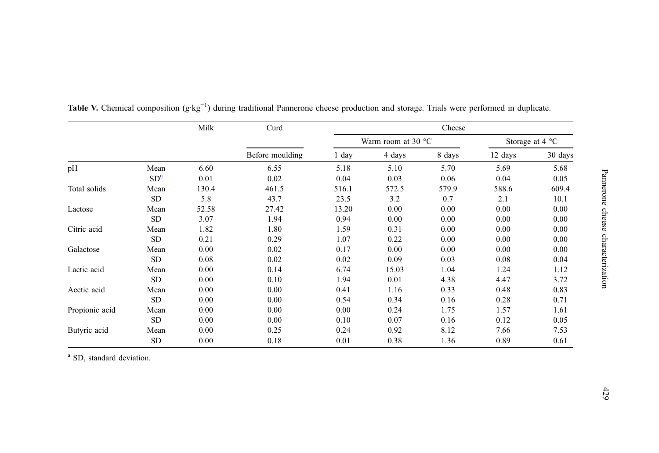|                |                 | Milk  | Curd            |       |                             | Cheese |         |                          |
|----------------|-----------------|-------|-----------------|-------|-----------------------------|--------|---------|--------------------------|
|                |                 |       |                 |       | Warm room at 30 $\degree$ C |        |         | Storage at $4^{\circ}$ C |
|                |                 |       | Before moulding | 1 day | 4 days                      | 8 days | 12 days | 30 days                  |
| pH             | Mean            | 6.60  | 6.55            | 5.18  | 5.10                        | 5.70   | 5.69    | 5.68                     |
|                | SD <sup>a</sup> | 0.01  | 0.02            | 0.04  | 0.03                        | 0.06   | 0.04    | 0.05                     |
| Total solids   | Mean            | 130.4 | 461.5           | 516.1 | 572.5                       | 579.9  | 588.6   | 609.4                    |
|                | <b>SD</b>       | 5.8   | 43.7            | 23.5  | 3.2                         | 0.7    | 2.1     | 10.1                     |
| Lactose        | Mean            | 52.58 | 27.42           | 13.20 | 0.00                        | 0.00   | 0.00    | 0.00                     |
|                | <b>SD</b>       | 3.07  | 1.94            | 0.94  | 0.00                        | 0.00   | 0.00    | 0.00                     |
| Citric acid    | Mean            | 1.82  | 1.80            | 1.59  | 0.31                        | 0.00   | 0.00    | 0.00                     |
|                | <b>SD</b>       | 0.21  | 0.29            | 1.07  | 0.22                        | 0.00   | 0.00    | 0.00                     |
| Galactose      | Mean            | 0.00  | 0.02            | 0.17  | 0.00                        | 0.00   | 0.00    | 0.00                     |
|                | <b>SD</b>       | 0.08  | 0.02            | 0.02  | 0.09                        | 0.03   | 0.08    | 0.04                     |
| Lactic acid    | Mean            | 0.00  | 0.14            | 6.74  | 15.03                       | 1.04   | 1.24    | 1.12                     |
|                | <b>SD</b>       | 0.00  | 0.10            | 1.94  | 0.01                        | 4.38   | 4.47    | 3.72                     |
| Acetic acid    | Mean            | 0.00  | 0.00            | 0.41  | 1.16                        | 0.33   | 0.48    | 0.83                     |
|                | <b>SD</b>       | 0.00  | 0.00            | 0.54  | 0.34                        | 0.16   | 0.28    | 0.71                     |
| Propionic acid | Mean            | 0.00  | 0.00            | 0.00  | 0.24                        | 1.75   | 1.57    | 1.61                     |
|                | <b>SD</b>       | 0.00  | 0.00            | 0.10  | 0.07                        | 0.16   | 0.12    | 0.05                     |
| Butyric acid   | Mean            | 0.00  | 0.25            | 0.24  | 0.92                        | 8.12   | 7.66    | 7.53                     |
|                | <b>SD</b>       | 0.00  | 0.18            | 0.01  | 0.38                        | 1.36   | 0.89    | 0.61                     |

<span id="page-10-0"></span>Table V. Chemical composition (g·kg<sup>-1</sup>) during traditional Pannerone cheese production and storage. Trials were performed in duplicate.

<sup>a</sup> SD, standard deviation.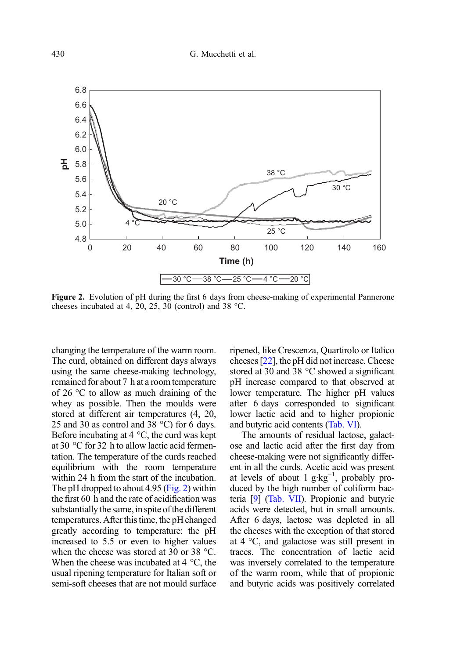

Figure 2. Evolution of pH during the first 6 days from cheese-making of experimental Pannerone cheeses incubated at 4, 20, 25, 30 (control) and 38 °C.

changing the temperature of the warm room. The curd, obtained on different days always using the same cheese-making technology, remained for about 7 h at a room temperature of 26 °C to allow as much draining of the whey as possible. Then the moulds were stored at different air temperatures (4, 20, 25 and 30 as control and 38 °C) for 6 days. Before incubating at 4 °C, the curd was kept at 30 °C for 32 h to allow lactic acid fermentation. The temperature of the curds reached equilibrium with the room temperature within 24 h from the start of the incubation. The pH dropped to about 4.95 (Fig. 2) within the first 60 h and the rate of acidification was substantially the same, in spite of the different temperatures. After this time, the pH changed greatly according to temperature: the pH increased to 5.5 or even to higher values when the cheese was stored at 30 or 38 °C. When the cheese was incubated at 4 °C, the usual ripening temperature for Italian soft or semi-soft cheeses that are not mould surface ripened, like Crescenza, Quartirolo or Italico cheeses [[22](#page-17-0)], the pH did not increase. Cheese stored at 30 and 38 °C showed a significant pH increase compared to that observed at lower temperature. The higher pH values after 6 days corresponded to significant lower lactic acid and to higher propionic and butyric acid contents [\(Tab. VI\)](#page-12-0).

The amounts of residual lactose, galactose and lactic acid after the first day from cheese-making were not significantly different in all the curds. Acetic acid was present at levels of about 1 g·kg−<sup>1</sup> , probably produced by the high number of coliform bacteria [[9](#page-16-0)] ([Tab. VII](#page-13-0)). Propionic and butyric acids were detected, but in small amounts. After 6 days, lactose was depleted in all the cheeses with the exception of that stored at 4 °C, and galactose was still present in traces. The concentration of lactic acid was inversely correlated to the temperature of the warm room, while that of propionic and butyric acids was positively correlated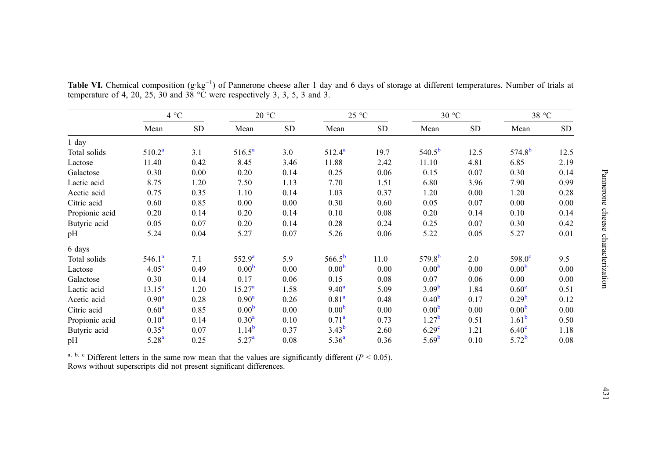|                | 4 °C              |      | 20 °C             |      | 25 °C             |           | 30 °C             |           | 38 °C             |           |
|----------------|-------------------|------|-------------------|------|-------------------|-----------|-------------------|-----------|-------------------|-----------|
|                | Mean              | SD.  | Mean              | SD   | Mean              | <b>SD</b> | Mean              | <b>SD</b> | Mean              | <b>SD</b> |
| $1$ day        |                   |      |                   |      |                   |           |                   |           |                   |           |
| Total solids   | $510.2^a$         | 3.1  | $516.5^a$         | 3.0  | $512.4^a$         | 19.7      | $540.5^{b}$       | 12.5      | $574.8^{b}$       | 12.5      |
| Lactose        | 11.40             | 0.42 | 8.45              | 3.46 | 11.88             | 2.42      | 11.10             | 4.81      | 6.85              | 2.19      |
| Galactose      | 0.30              | 0.00 | 0.20              | 0.14 | 0.25              | 0.06      | 0.15              | 0.07      | 0.30              | 0.14      |
| Lactic acid    | 8.75              | 1.20 | 7.50              | 1.13 | 7.70              | 1.51      | 6.80              | 3.96      | 7.90              | 0.99      |
| Acetic acid    | 0.75              | 0.35 | 1.10              | 0.14 | 1.03              | 0.37      | 1.20              | 0.00      | 1.20              | 0.28      |
| Citric acid    | 0.60              | 0.85 | 0.00              | 0.00 | 0.30              | 0.60      | 0.05              | 0.07      | 0.00              | 0.00      |
| Propionic acid | 0.20              | 0.14 | 0.20              | 0.14 | 0.10              | 0.08      | 0.20              | 0.14      | 0.10              | 0.14      |
| Butyric acid   | 0.05              | 0.07 | 0.20              | 0.14 | 0.28              | 0.24      | 0.25              | 0.07      | 0.30              | 0.42      |
| pH             | 5.24              | 0.04 | 5.27              | 0.07 | 5.26              | 0.06      | 5.22              | 0.05      | 5.27              | 0.01      |
| 6 days         |                   |      |                   |      |                   |           |                   |           |                   |           |
| Total solids   | $546.1^a$         | 7.1  | $552.9^{\rm a}$   | 5.9  | $566.5^{\rm b}$   | 11.0      | $579.8^{b}$       | 2.0       | $598.0^{\circ}$   | 9.5       |
| Lactose        | 4.05 <sup>a</sup> | 0.49 | 0.00 <sup>b</sup> | 0.00 | 0.00 <sup>b</sup> | 0.00      | 0.00 <sup>b</sup> | 0.00      | 0.00 <sup>b</sup> | 0.00      |
| Galactose      | 0.30              | 0.14 | 0.17              | 0.06 | 0.15              | 0.08      | 0.07              | 0.06      | 0.00              | 0.00      |
| Lactic acid    | $13.15^a$         | 1.20 | $15.27^{\rm a}$   | 1.58 | $9.40^a$          | 5.09      | 3.09 <sup>b</sup> | 1.84      | 0.60 <sup>c</sup> | 0.51      |
| Acetic acid    | 0.90 <sup>a</sup> | 0.28 | 0.90 <sup>a</sup> | 0.26 | 0.81 <sup>a</sup> | 0.48      | 0.40 <sup>b</sup> | 0.17      | 0.29 <sup>b</sup> | 0.12      |
| Citric acid    | $0.60^{\rm a}$    | 0.85 | 0.00 <sup>b</sup> | 0.00 | 0.00 <sup>b</sup> | 0.00      | 0.00 <sup>b</sup> | 0.00      | 0.00 <sup>b</sup> | 0.00      |
| Propionic acid | 0.10 <sup>a</sup> | 0.14 | 0.30 <sup>a</sup> | 0.10 | $0.71^{\rm a}$    | 0.73      | 1.27 <sup>b</sup> | 0.51      | 1.61 <sup>b</sup> | 0.50      |
| Butyric acid   | $0.35^{\rm a}$    | 0.07 | $1.14^{b}$        | 0.37 | $3.43^{b}$        | 2.60      | 6.29 <sup>c</sup> | 1.21      | 6.40 <sup>c</sup> | 1.18      |
| pH             | $5.28^{a}$        | 0.25 | 5.27 <sup>a</sup> | 0.08 | 5.36 <sup>a</sup> | 0.36      | 5.69 <sup>b</sup> | 0.10      | $5.72^{b}$        | 0.08      |

<span id="page-12-0"></span>Table VI. Chemical composition  $(g \, kg^{-1})$  of Pannerone cheese after 1 day and 6 days of storage at different temperatures. Number of trials at temperature of 4, 20, 25, 30 and 38  $^{\circ}$ C were respectively 3, 3, 5, 3 and 3.

a, b, c Different letters in the same row mean that the values are significantly different ( $P < 0.05$ ). Rows without superscripts did not presen<sup>t</sup> significant differences.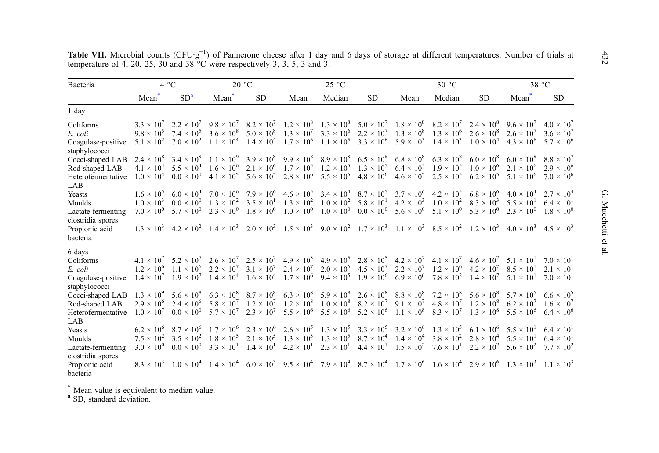| Bacteria                            |                | 4 °C            |                   | $20^{\circ}$ C |      | $25^{\circ}$ C |     |      | 30 °C  |                                                                                                                                                                                                                                                                                                                                                             |                                    | 38 °C               |
|-------------------------------------|----------------|-----------------|-------------------|----------------|------|----------------|-----|------|--------|-------------------------------------------------------------------------------------------------------------------------------------------------------------------------------------------------------------------------------------------------------------------------------------------------------------------------------------------------------------|------------------------------------|---------------------|
|                                     | $\ast$<br>Mean | SD <sup>a</sup> | $\bullet$<br>Mean | <b>SD</b>      | Mean | Median         | SD. | Mean | Median | SD.                                                                                                                                                                                                                                                                                                                                                         | $\rightarrow$<br>Mean <sup>'</sup> | <b>SD</b>           |
| 1 day                               |                |                 |                   |                |      |                |     |      |        |                                                                                                                                                                                                                                                                                                                                                             |                                    |                     |
| Coliforms                           |                |                 |                   |                |      |                |     |      |        | $3.3 \times 10^7$ $2.2 \times 10^7$ $9.8 \times 10^7$ $8.2 \times 10^7$ $1.2 \times 10^8$ $1.3 \times 10^8$ $5.0 \times 10^7$ $1.8 \times 10^8$ $8.2 \times 10^7$ $2.4 \times 10^8$ $9.6 \times 10^7$ $4.0 \times 10^7$                                                                                                                                     |                                    |                     |
| E. coli                             |                |                 |                   |                |      |                |     |      |        | $9.8 \times 10^5$ $7.4 \times 10^5$ $3.6 \times 10^8$ $5.0 \times 10^8$ $1.3 \times 10^7$ $3.3 \times 10^6$ $2.2 \times 10^7$ $1.3 \times 10^8$ $1.3 \times 10^6$ $2.6 \times 10^8$ $2.6 \times 10^7$                                                                                                                                                       |                                    | $3.6 \times 10^{7}$ |
| Coagulase-positive<br>staphylococci |                |                 |                   |                |      |                |     |      |        | $5.1 \times 10^2$ $7.0 \times 10^2$ $1.1 \times 10^4$ $1.4 \times 10^4$ $1.7 \times 10^6$ $1.1 \times 10^5$ $3.3 \times 10^6$ $5.9 \times 10^3$ $1.4 \times 10^3$ $1.0 \times 10^4$ $4.3 \times 10^6$ $5.7 \times 10^6$                                                                                                                                     |                                    |                     |
| Cocci-shaped LAB                    |                |                 |                   |                |      |                |     |      |        | $2.4 \times 10^8$ $3.4 \times 10^8$ $1.1 \times 10^9$ $3.9 \times 10^8$ $9.9 \times 10^8$ $8.9 \times 10^8$ $6.5 \times 10^8$ $6.8 \times 10^8$ $6.3 \times 10^8$ $6.0 \times 10^8$ $6.0 \times 10^8$ $8.8 \times 10^7$                                                                                                                                     |                                    |                     |
| Rod-shaped LAB                      |                |                 |                   |                |      |                |     |      |        | $4.1 \times 10^4$ $5.5 \times 10^4$ $1.6 \times 10^6$ $2.1 \times 10^6$ $1.7 \times 10^5$ $1.2 \times 10^5$ $1.3 \times 10^5$ $6.4 \times 10^5$ $1.9 \times 10^5$ $1.0 \times 10^6$ $2.1 \times 10^6$ $2.9 \times 10^6$                                                                                                                                     |                                    |                     |
| Heterofermentative                  |                |                 |                   |                |      |                |     |      |        | $1.0 \times 10^4$ $0.0 \times 10^0$ $4.1 \times 10^5$ $5.6 \times 10^5$ $2.8 \times 10^6$ $5.5 \times 10^5$ $4.8 \times 10^6$ $4.6 \times 10^5$ $2.5 \times 10^5$ $6.2 \times 10^5$ $5.1 \times 10^6$ $7.0 \times 10^6$                                                                                                                                     |                                    |                     |
| LAB.                                |                |                 |                   |                |      |                |     |      |        |                                                                                                                                                                                                                                                                                                                                                             |                                    |                     |
| <b>Yeasts</b>                       |                |                 |                   |                |      |                |     |      |        | $1.6 \times 10^5$ $6.0 \times 10^4$ $7.0 \times 10^6$ $7.9 \times 10^6$ $4.6 \times 10^5$ $3.4 \times 10^4$ $8.7 \times 10^5$ $3.7 \times 10^6$ $4.2 \times 10^5$ $6.8 \times 10^6$ $4.0 \times 10^4$ $2.7 \times 10^4$                                                                                                                                     |                                    |                     |
| Moulds                              |                |                 |                   |                |      |                |     |      |        | $1.0 \times 10^3$ $0.0 \times 10^0$ $1.3 \times 10^2$ $3.5 \times 10^1$ $1.3 \times 10^2$ $1.0 \times 10^2$ $5.8 \times 10^1$ $4.2 \times 10^3$ $1.0 \times 10^2$ $8.3 \times 10^3$ $5.5 \times 10^1$ $6.4 \times 10^1$                                                                                                                                     |                                    |                     |
| Lactate-fermenting                  |                |                 |                   |                |      |                |     |      |        | $7.0 \times 10^{0}$ $5.7 \times 10^{0}$ $2.3 \times 10^{0}$ $1.8 \times 10^{0}$ $1.0 \times 10^{0}$ $1.0 \times 10^{0}$ $0.0 \times 10^{0}$ $5.6 \times 10^{0}$ $5.1 \times 10^{0}$ $5.3 \times 10^{0}$ $2.3 \times 10^{0}$ $1.8 \times 10^{0}$                                                                                                             |                                    |                     |
| clostridia spores                   |                |                 |                   |                |      |                |     |      |        |                                                                                                                                                                                                                                                                                                                                                             |                                    |                     |
| Propionic acid                      |                |                 |                   |                |      |                |     |      |        | $1.3 \times 10^3 \quad 4.2 \times 10^2 \quad 1.4 \times 10^3 \quad 2.0 \times 10^3 \quad 1.5 \times 10^3 \quad 9.0 \times 10^2 \quad 1.7 \times 10^3 \quad 1.1 \times 10^3 \quad 8.5 \times 10^2 \quad 1.2 \times 10^3 \quad 4.0 \times 10^3 \quad 4.5 \times 10^3$                                                                                         |                                    |                     |
| bacteria                            |                |                 |                   |                |      |                |     |      |        |                                                                                                                                                                                                                                                                                                                                                             |                                    |                     |
| 6 days                              |                |                 |                   |                |      |                |     |      |        |                                                                                                                                                                                                                                                                                                                                                             |                                    |                     |
| Coliforms                           |                |                 |                   |                |      |                |     |      |        | $4.1 \times 10^7$ $5.2 \times 10^7$ $2.6 \times 10^7$ $2.5 \times 10^7$ $4.9 \times 10^5$ $4.9 \times 10^5$ $2.8 \times 10^5$ $4.2 \times 10^7$ $4.1 \times 10^7$ $4.6 \times 10^7$ $5.1 \times 10^1$ $7.0 \times 10^1$                                                                                                                                     |                                    |                     |
| E. coli                             |                |                 |                   |                |      |                |     |      |        | $1.2 \times 10^6$ $1.1 \times 10^6$ $2.2 \times 10^7$ $3.1 \times 10^7$ $2.4 \times 10^7$ $2.0 \times 10^6$ $4.5 \times 10^7$ $2.2 \times 10^7$ $1.2 \times 10^6$ $4.2 \times 10^7$ $8.5 \times 10^1$                                                                                                                                                       |                                    | $2.1 \times 10^{1}$ |
|                                     |                |                 |                   |                |      |                |     |      |        | $1.4 \times 10^7$ $1.9 \times 10^7$ $1.4 \times 10^4$ $1.6 \times 10^4$ $1.7 \times 10^6$ $9.4 \times 10^5$ $1.9 \times 10^6$ $6.9 \times 10^6$ $7.8 \times 10^2$ $1.4 \times 10^7$ $5.1 \times 10^1$ $7.0 \times 10^1$                                                                                                                                     |                                    |                     |
| Coagulase-positive                  |                |                 |                   |                |      |                |     |      |        |                                                                                                                                                                                                                                                                                                                                                             |                                    |                     |
| staphylococci                       |                |                 |                   |                |      |                |     |      |        | $1.3 \times 10^9$ $5.6 \times 10^8$ $6.3 \times 10^8$ $8.7 \times 10^8$ $6.3 \times 10^8$ $5.9 \times 10^8$ $2.6 \times 10^8$ $8.8 \times 10^8$ $7.2 \times 10^8$ $5.6 \times 10^8$ $5.7 \times 10^5$ $6.6 \times 10^5$                                                                                                                                     |                                    |                     |
| Cocci-shaped LAB                    |                |                 |                   |                |      |                |     |      |        | $2.9 \times 10^6$ $2.4 \times 10^6$ $5.8 \times 10^7$ $1.2 \times 10^7$ $1.2 \times 10^8$ $1.0 \times 10^8$ $8.2 \times 10^7$ $9.1 \times 10^7$ $4.8 \times 10^7$ $1.2 \times 10^8$ $6.2 \times 10^7$ $1.6 \times 10^7$                                                                                                                                     |                                    |                     |
| Rod-shaped LAB                      |                |                 |                   |                |      |                |     |      |        |                                                                                                                                                                                                                                                                                                                                                             |                                    | $6.4 \times 10^{6}$ |
| Heterofermentative                  |                |                 |                   |                |      |                |     |      |        | $1.0 \times 10^7$ $0.0 \times 10^0$ $5.7 \times 10^7$ $2.3 \times 10^7$ $5.5 \times 10^6$ $5.5 \times 10^6$ $5.2 \times 10^6$ $1.1 \times 10^8$ $8.3 \times 10^7$ $1.3 \times 10^8$ $5.5 \times 10^6$                                                                                                                                                       |                                    |                     |
| LAB                                 |                |                 |                   |                |      |                |     |      |        |                                                                                                                                                                                                                                                                                                                                                             |                                    |                     |
| Yeasts                              |                |                 |                   |                |      |                |     |      |        | $6.2 \times 10^6$ $8.7 \times 10^6$ $1.7 \times 10^6$ $2.3 \times 10^6$ $2.6 \times 10^5$ $1.3 \times 10^5$ $3.3 \times 10^5$ $3.2 \times 10^6$ $1.3 \times 10^5$ $6.1 \times 10^6$ $5.5 \times 10^1$ $6.4 \times 10^1$                                                                                                                                     |                                    |                     |
| Moulds                              |                |                 |                   |                |      |                |     |      |        | 7.5 $\times$ 10 <sup>2</sup> 3.5 $\times$ 10 <sup>2</sup> 1.8 $\times$ 10 <sup>5</sup> 2.1 $\times$ 10 <sup>5</sup> 1.3 $\times$ 10 <sup>5</sup> 1.3 $\times$ 10 <sup>5</sup> 8.7 $\times$ 10 <sup>4</sup> 1.4 $\times$ 10 <sup>4</sup> 3.8 $\times$ 10 <sup>2</sup> 2.8 $\times$ 10 <sup>4</sup> 5.5 $\times$ 10 <sup>1</sup> 6.4 $\times$ 10 <sup>1</sup> |                                    |                     |
| Lactate-fermenting                  |                |                 |                   |                |      |                |     |      |        | $3.0 \times 10^0$ $0.0 \times 10^0$ $3.3 \times 10^1$ $1.4 \times 10^1$ $4.2 \times 10^1$ $2.3 \times 10^1$ $4.4 \times 10^1$ $1.5 \times 10^2$ $7.6 \times 10^1$ $2.2 \times 10^2$ $5.6 \times 10^2$ $7.7 \times 10^2$                                                                                                                                     |                                    |                     |
| clostridia spores                   |                |                 |                   |                |      |                |     |      |        |                                                                                                                                                                                                                                                                                                                                                             |                                    |                     |
| Propionic acid                      |                |                 |                   |                |      |                |     |      |        | $8.3 \times 10^3$ $1.0 \times 10^4$ $1.4 \times 10^4$ $6.0 \times 10^3$ $9.5 \times 10^4$ $7.9 \times 10^4$ $8.7 \times 10^4$ $1.7 \times 10^6$ $1.6 \times 10^4$ $2.9 \times 10^6$ $1.3 \times 10^3$ $1.1 \times 10^3$                                                                                                                                     |                                    |                     |
| bacteria                            |                |                 |                   |                |      |                |     |      |        |                                                                                                                                                                                                                                                                                                                                                             |                                    |                     |

<span id="page-13-0"></span>Table VII. Microbial counts (CFU·g<sup>-1</sup>) of Pannerone cheese after 1 day and 6 days of storage at different temperatures. Number of trials at temperature of 4, 20, 25, 30 and 38 °C were respectively 3, 3, 5, 3 and 3.

\* Mean value is equivalent to median value. a SD, standard deviation.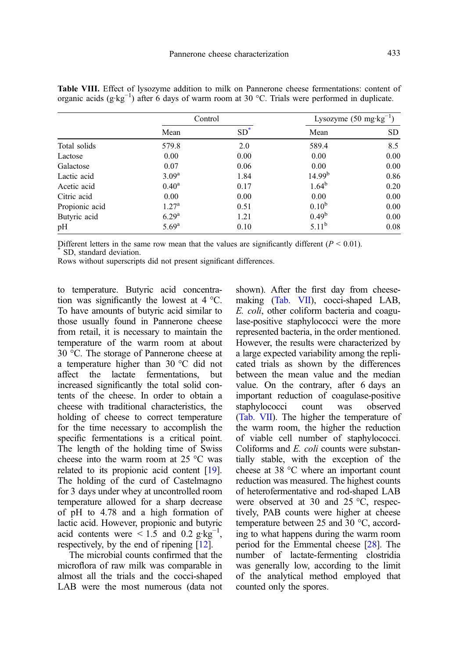|                | Control        |        | Lysozyme $(50 \text{ mg} \cdot \text{kg}^{-1})$ |           |  |
|----------------|----------------|--------|-------------------------------------------------|-----------|--|
|                | Mean           | $SD^*$ | Mean                                            | <b>SD</b> |  |
| Total solids   | 579.8          | 2.0    | 589.4                                           | 8.5       |  |
| Lactose        | 0.00           | 0.00   | 0.00                                            | 0.00      |  |
| Galactose      | 0.07           | 0.06   | 0.00                                            | 0.00      |  |
| Lactic acid    | $3.09^{\rm a}$ | 1.84   | 14.99 <sup>b</sup>                              | 0.86      |  |
| Acetic acid    | $0.40^{\rm a}$ | 0.17   | $1.64^{b}$                                      | 0.20      |  |
| Citric acid    | 0.00           | 0.00   | 0.00                                            | 0.00      |  |
| Propionic acid | $1.27^{\rm a}$ | 0.51   | $0.10^{b}$                                      | 0.00      |  |
| Butyric acid   | $6.29^{a}$     | 1.21   | $0.49^b$                                        | 0.00      |  |
| pH             | $5.69^{\rm a}$ | 0.10   | $5.11^{\rm b}$                                  | 0.08      |  |

<span id="page-14-0"></span>Table VIII. Effect of lysozyme addition to milk on Pannerone cheese fermentations: content of organic acids (g·kg−<sup>1</sup> ) after 6 days of warm room at 30 °C. Trials were performed in duplicate.

Different letters in the same row mean that the values are significantly different ( $P < 0.01$ ).<br>\* SD, standard deviation.

Rows without superscripts did not present significant differences.

to temperature. Butyric acid concentration was significantly the lowest at 4 °C. To have amounts of butyric acid similar to those usually found in Pannerone cheese from retail, it is necessary to maintain the temperature of the warm room at about 30 °C. The storage of Pannerone cheese at a temperature higher than 30 °C did not affect the lactate fermentations, but increased significantly the total solid contents of the cheese. In order to obtain a cheese with traditional characteristics, the holding of cheese to correct temperature for the time necessary to accomplish the specific fermentations is a critical point. The length of the holding time of Swiss cheese into the warm room at 25 °C was related to its propionic acid content [\[19](#page-17-0)]. The holding of the curd of Castelmagno for 3 days under whey at uncontrolled room temperature allowed for a sharp decrease of pH to 4.78 and a high formation of lactic acid. However, propionic and butyric acid contents were  $\leq 1.5$  and 0.2 g·kg<sup>-1</sup>, respectively, by the end of ripening [\[12\]](#page-16-0).

The microbial counts confirmed that the microflora of raw milk was comparable in almost all the trials and the cocci-shaped LAB were the most numerous (data not shown). After the first day from cheesemaking ([Tab. VII](#page-13-0)), cocci-shaped LAB, E. coli, other coliform bacteria and coagulase-positive staphylococci were the more represented bacteria, in the order mentioned. However, the results were characterized by a large expected variability among the replicated trials as shown by the differences between the mean value and the median value. On the contrary, after 6 days an important reduction of coagulase-positive staphylococci count was observed ([Tab. VII](#page-13-0)). The higher the temperature of the warm room, the higher the reduction of viable cell number of staphylococci. Coliforms and E. coli counts were substantially stable, with the exception of the cheese at 38 °C where an important count reduction was measured. The highest counts of heterofermentative and rod-shaped LAB were observed at 30 and 25 °C, respectively, PAB counts were higher at cheese temperature between 25 and 30 °C, according to what happens during the warm room period for the Emmental cheese [\[28](#page-17-0)]. The number of lactate-fermenting clostridia was generally low, according to the limit of the analytical method employed that counted only the spores.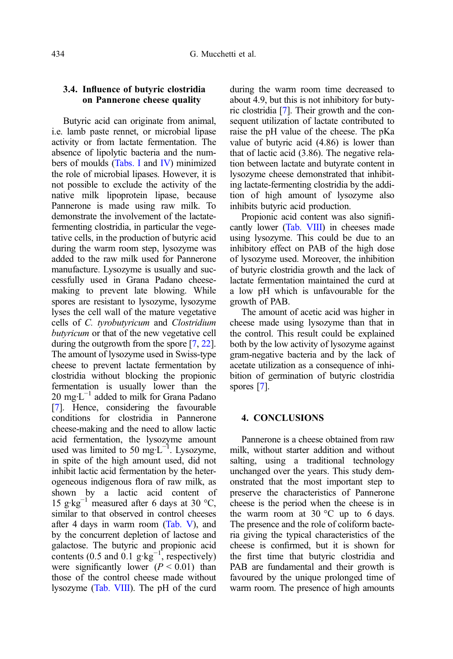#### 3.4. Influence of butyric clostridia on Pannerone cheese quality

Butyric acid can originate from animal, i.e. lamb paste rennet, or microbial lipase activity or from lactate fermentation. The absence of lipolytic bacteria and the numbers of moulds [\(Tabs. I](#page-4-0) and [IV\)](#page-9-0) minimized the role of microbial lipases. However, it is not possible to exclude the activity of the native milk lipoprotein lipase, because Pannerone is made using raw milk. To demonstrate the involvement of the lactatefermenting clostridia, in particular the vegetative cells, in the production of butyric acid during the warm room step, lysozyme was added to the raw milk used for Pannerone manufacture. Lysozyme is usually and successfully used in Grana Padano cheesemaking to prevent late blowing. While spores are resistant to lysozyme, lysozyme lyses the cell wall of the mature vegetative cells of C. tyrobutyricum and Clostridium butyricum or that of the new vegetative cell during the outgrowth from the spore [\[7](#page-16-0), [22\]](#page-17-0). The amount of lysozyme used in Swiss-type cheese to prevent lactate fermentation by clostridia without blocking the propionic fermentation is usually lower than the 20 mg⋅ $L^{-1}$  added to milk for Grana Padano [\[7](#page-16-0)]. Hence, considering the favourable conditions for clostridia in Pannerone cheese-making and the need to allow lactic acid fermentation, the lysozyme amount used was limited to 50 mg⋅L<sup>-1</sup>. Lysozyme, in spite of the high amount used, did not inhibit lactic acid fermentation by the heterogeneous indigenous flora of raw milk, as shown by a lactic acid content of 15 g·kg<sup>-1</sup> measured after 6 days at 30 °C, similar to that observed in control cheeses after 4 days in warm room [\(Tab. V](#page-10-0)), and by the concurrent depletion of lactose and galactose. The butyric and propionic acid contents (0.5 and 0.1  $g \text{·kg}^{-1}$ , respectively) were significantly lower  $(P < 0.01)$  than those of the control cheese made without lysozyme [\(Tab. VIII](#page-14-0)). The pH of the curd during the warm room time decreased to about 4.9, but this is not inhibitory for butyric clostridia [[7\]](#page-16-0). Their growth and the consequent utilization of lactate contributed to raise the pH value of the cheese. The pKa value of butyric acid (4.86) is lower than that of lactic acid (3.86). The negative relation between lactate and butyrate content in lysozyme cheese demonstrated that inhibiting lactate-fermenting clostridia by the addition of high amount of lysozyme also inhibits butyric acid production.

Propionic acid content was also significantly lower [\(Tab. VIII\)](#page-14-0) in cheeses made using lysozyme. This could be due to an inhibitory effect on PAB of the high dose of lysozyme used. Moreover, the inhibition of butyric clostridia growth and the lack of lactate fermentation maintained the curd at a low pH which is unfavourable for the growth of PAB.

The amount of acetic acid was higher in cheese made using lysozyme than that in the control. This result could be explained both by the low activity of lysozyme against gram-negative bacteria and by the lack of acetate utilization as a consequence of inhibition of germination of butyric clostridia spores [\[7](#page-16-0)].

#### 4. CONCLUSIONS

Pannerone is a cheese obtained from raw milk, without starter addition and without salting, using a traditional technology unchanged over the years. This study demonstrated that the most important step to preserve the characteristics of Pannerone cheese is the period when the cheese is in the warm room at 30  $\degree$ C up to 6 days. The presence and the role of coliform bacteria giving the typical characteristics of the cheese is confirmed, but it is shown for the first time that butyric clostridia and PAB are fundamental and their growth is favoured by the unique prolonged time of warm room. The presence of high amounts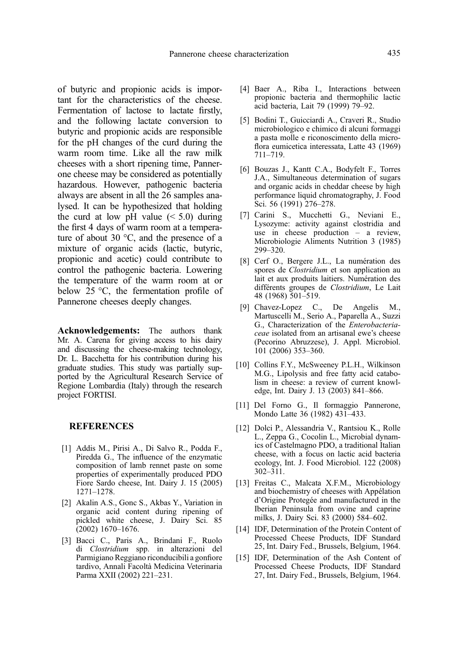<span id="page-16-0"></span>of butyric and propionic acids is important for the characteristics of the cheese. Fermentation of lactose to lactate firstly, and the following lactate conversion to butyric and propionic acids are responsible for the pH changes of the curd during the warm room time. Like all the raw milk cheeses with a short ripening time, Pannerone cheese may be considered as potentially hazardous. However, pathogenic bacteria always are absent in all the 26 samples analysed. It can be hypothesized that holding the curd at low pH value  $(< 5.0)$  during the first 4 days of warm room at a temperature of about 30 °C, and the presence of a mixture of organic acids (lactic, butyric, propionic and acetic) could contribute to control the pathogenic bacteria. Lowering the temperature of the warm room at or below 25 °C, the fermentation profile of Pannerone cheeses deeply changes.

Acknowledgements: The authors thank Mr. A. Carena for giving access to his dairy and discussing the cheese-making technology, Dr. L. Bacchetta for his contribution during his graduate studies. This study was partially supported by the Agricultural Research Service of Regione Lombardia (Italy) through the research project FORTISI.

#### **REFERENCES**

- [1] Addis M., Pirisi A., Di Salvo R., Podda F., Piredda G., The influence of the enzymatic composition of lamb rennet paste on some properties of experimentally produced PDO Fiore Sardo cheese, Int. Dairy J. 15 (2005) 1271–1278.
- [2] Akalin A.S., Gonc S., Akbas Y., Variation in organic acid content during ripening of pickled white cheese, J. Dairy Sci. 85 (2002) 1670–1676.
- [3] Bacci C., Paris A., Brindani F., Ruolo di Clostridium spp. in alterazioni del Parmigiano Reggiano riconducibili a gonfiore tardivo, Annali Facoltà Medicina Veterinaria Parma XXII (2002) 221–231.
- [4] Baer A., Riba I., Interactions between propionic bacteria and thermophilic lactic acid bacteria, Lait 79 (1999) 79–92.
- [5] Bodini T., Guicciardi A., Craveri R., Studio microbiologico e chimico di alcuni formaggi a pasta molle e riconoscimento della microflora eumicetica interessata, Latte 43 (1969) 711–719.
- [6] Bouzas J., Kantt C.A., Bodyfelt F., Torres J.A., Simultaneous determination of sugars and organic acids in cheddar cheese by high performance liquid chromatography, J. Food Sci. 56 (1991) 276–278.
- [7] Carini S., Mucchetti G., Neviani E., Lysozyme: activity against clostridia and use in cheese production – a review, Microbiologie Aliments Nutrition 3 (1985) 299–320.
- [8] Cerf O., Bergere J.L., La numération des spores de Clostridium et son application au lait et aux produits laitiers. Numération des différents groupes de Clostridium, Le Lait 48 (1968) 501–519.
- [9] Chavez-Lopez C., De Angelis M., Martuscelli M., Serio A., Paparella A., Suzzi G., Characterization of the Enterobacteriaceae isolated from an artisanal ewe's cheese (Pecorino Abruzzese), J. Appl. Microbiol. 101 (2006) 353–360.
- [10] Collins F.Y., McSweeney P.L.H., Wilkinson M.G., Lipolysis and free fatty acid catabolism in cheese: a review of current knowledge, Int. Dairy J. 13 (2003) 841–866.
- [11] Del Forno G., Il formaggio Pannerone, Mondo Latte 36 (1982) 431–433.
- [12] Dolci P., Alessandria V., Rantsiou K., Rolle L., Zeppa G., Cocolin L., Microbial dynamics of Castelmagno PDO, a traditional Italian cheese, with a focus on lactic acid bacteria ecology, Int. J. Food Microbiol. 122 (2008) 302–311.
- [13] Freitas C., Malcata X.F.M., Microbiology and biochemistry of cheeses with Appélation d'Origine Protegée and manufactured in the Iberian Peninsula from ovine and caprine milks, J. Dairy Sci. 83 (2000) 584–602.
- [14] IDF, Determination of the Protein Content of Processed Cheese Products, IDF Standard 25, Int. Dairy Fed., Brussels, Belgium, 1964.
- [15] IDF, Determination of the Ash Content of Processed Cheese Products, IDF Standard 27, Int. Dairy Fed., Brussels, Belgium, 1964.